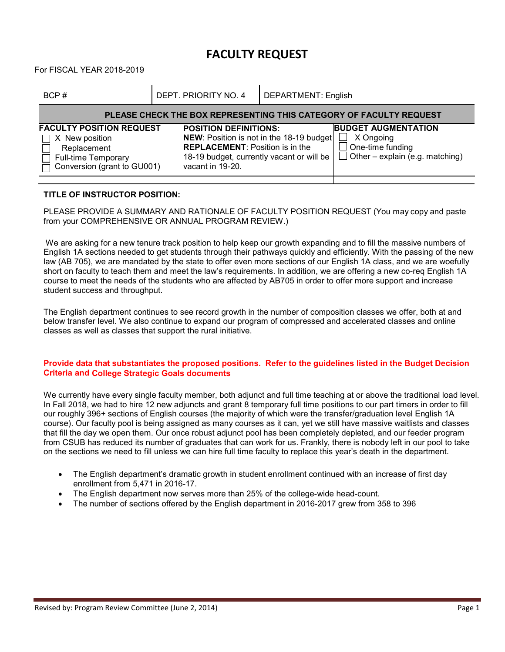## **FACULTY REQUEST**

For FISCAL YEAR 2018-2019

| BCP#                                                                                                                              | DEPT. PRIORITY NO. 4                                                                                                                                                                | <b>DEPARTMENT: English</b> |                                                                                                              |  |  |  |  |  |  |
|-----------------------------------------------------------------------------------------------------------------------------------|-------------------------------------------------------------------------------------------------------------------------------------------------------------------------------------|----------------------------|--------------------------------------------------------------------------------------------------------------|--|--|--|--|--|--|
| PLEASE CHECK THE BOX REPRESENTING THIS CATEGORY OF FACULTY REQUEST                                                                |                                                                                                                                                                                     |                            |                                                                                                              |  |  |  |  |  |  |
| <b>FACULTY POSITION REQUEST</b><br>X New position<br>$\perp$<br>Replacement<br>Full-time Temporary<br>Conversion (grant to GU001) | <b>POSITION DEFINITIONS:</b><br>NEW: Position is not in the 18-19 budget<br><b>REPLACEMENT: Position is in the</b><br>18-19 budget, currently vacant or will be<br>vacant in 19-20. |                            | <b>BUDGET AUGMENTATION</b><br>X Ongoing<br>$\Box$ One-time funding<br>$\Box$ Other – explain (e.g. matching) |  |  |  |  |  |  |

## **TITLE OF INSTRUCTOR POSITION:**

PLEASE PROVIDE A SUMMARY AND RATIONALE OF FACULTY POSITION REQUEST (You may copy and paste from your COMPREHENSIVE OR ANNUAL PROGRAM REVIEW.)

We are asking for a new tenure track position to help keep our growth expanding and to fill the massive numbers of English 1A sections needed to get students through their pathways quickly and efficiently. With the passing of the new law (AB 705), we are mandated by the state to offer even more sections of our English 1A class, and we are woefully short on faculty to teach them and meet the law's requirements. In addition, we are offering a new co-req English 1A course to meet the needs of the students who are affected by AB705 in order to offer more support and increase student success and throughput.

The English department continues to see record growth in the number of composition classes we offer, both at and below transfer level. We also continue to expand our program of compressed and accelerated classes and online classes as well as classes that support the rural initiative.

## **Provide data that substantiates the proposed positions. Refer to the guidelines listed in the Budget Decision Criteria and College Strategic Goals documents**

We currently have every single faculty member, both adjunct and full time teaching at or above the traditional load level. In Fall 2018, we had to hire 12 new adjuncts and grant 8 temporary full time positions to our part timers in order to fill our roughly 396+ sections of English courses (the majority of which were the transfer/graduation level English 1A course). Our faculty pool is being assigned as many courses as it can, yet we still have massive waitlists and classes that fill the day we open them. Our once robust adjunct pool has been completely depleted, and our feeder program from CSUB has reduced its number of graduates that can work for us. Frankly, there is nobody left in our pool to take on the sections we need to fill unless we can hire full time faculty to replace this year's death in the department.

- The English department's dramatic growth in student enrollment continued with an increase of first day enrollment from 5,471 in 2016-17.
- The English department now serves more than 25% of the college-wide head-count.
- The number of sections offered by the English department in 2016-2017 grew from 358 to 396